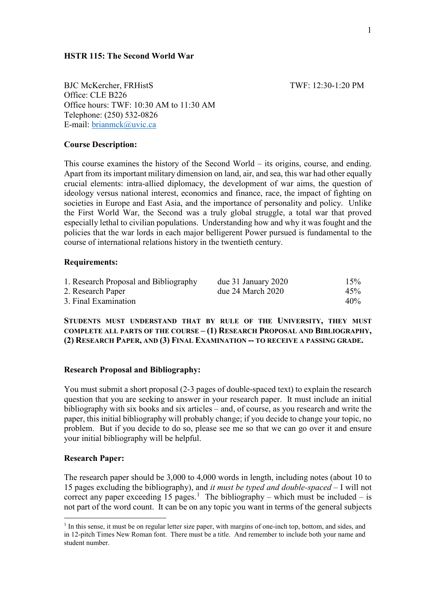BJC McKercher, FRHistS TWF: 12:30-1:20 PM Office: CLE B226 Office hours: TWF: 10:30 AM to 11:30 AM Telephone: (250) 532-0826 E-mail: [brianmck@uvic.ca](mailto:brianmck@uvic.ca)

**HSTR 115: The Second World War**

# **Course Description:**

This course examines the history of the Second World – its origins, course, and ending. Apart from its important military dimension on land, air, and sea, this war had other equally crucial elements: intra-allied diplomacy, the development of war aims, the question of ideology versus national interest, economics and finance, race, the impact of fighting on societies in Europe and East Asia, and the importance of personality and policy. Unlike the First World War, the Second was a truly global struggle, a total war that proved especially lethal to civilian populations. Understanding how and why it was fought and the policies that the war lords in each major belligerent Power pursued is fundamental to the course of international relations history in the twentieth century.

## **Requirements:**

| 1. Research Proposal and Bibliography | due 31 January 2020   | 15% |
|---------------------------------------|-----------------------|-----|
| 2. Research Paper                     | due $24$ March $2020$ | 45% |
| 3. Final Examination                  |                       | 40% |

**STUDENTS MUST UNDERSTAND THAT BY RULE OF THE UNIVERSITY, THEY MUST COMPLETE ALL PARTS OF THE COURSE – (1) RESEARCH PROPOSAL AND BIBLIOGRAPHY, (2) RESEARCH PAPER, AND (3) FINAL EXAMINATION -- TO RECEIVE A PASSING GRADE.**

## **Research Proposal and Bibliography:**

You must submit a short proposal (2-3 pages of double-spaced text) to explain the research question that you are seeking to answer in your research paper. It must include an initial bibliography with six books and six articles – and, of course, as you research and write the paper, this initial bibliography will probably change; if you decide to change your topic, no problem. But if you decide to do so, please see me so that we can go over it and ensure your initial bibliography will be helpful.

## **Research Paper:**

The research paper should be 3,000 to 4,000 words in length, including notes (about 10 to 15 pages excluding the bibliography), and *it must be typed and double-spaced* – I will not correct any paper exceeding [1](#page-0-0)5 pages.<sup>1</sup> The bibliography – which must be included – is not part of the word count. It can be on any topic you want in terms of the general subjects

<span id="page-0-0"></span> $<sup>1</sup>$  In this sense, it must be on regular letter size paper, with margins of one-inch top, bottom, and sides, and</sup> in 12-pitch Times New Roman font. There must be a title. And remember to include both your name and student number.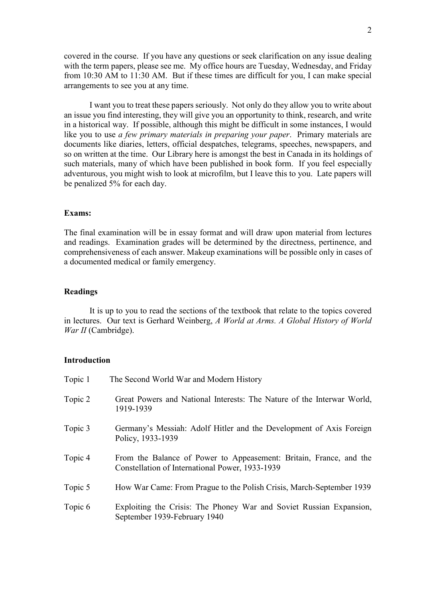covered in the course. If you have any questions or seek clarification on any issue dealing with the term papers, please see me. My office hours are Tuesday, Wednesday, and Friday from 10:30 AM to 11:30 AM. But if these times are difficult for you, I can make special arrangements to see you at any time.

I want you to treat these papers seriously. Not only do they allow you to write about an issue you find interesting, they will give you an opportunity to think, research, and write in a historical way. If possible, although this might be difficult in some instances, I would like you to use *a few primary materials in preparing your paper*. Primary materials are documents like diaries, letters, official despatches, telegrams, speeches, newspapers, and so on written at the time. Our Library here is amongst the best in Canada in its holdings of such materials, many of which have been published in book form. If you feel especially adventurous, you might wish to look at microfilm, but I leave this to you. Late papers will be penalized 5% for each day.

#### **Exams:**

The final examination will be in essay format and will draw upon material from lectures and readings. Examination grades will be determined by the directness, pertinence, and comprehensiveness of each answer. Makeup examinations will be possible only in cases of a documented medical or family emergency.

## **Readings**

It is up to you to read the sections of the textbook that relate to the topics covered in lectures. Our text is Gerhard Weinberg, *A World at Arms. A Global History of World War II* (Cambridge).

#### **Introduction**

| Topic 1 | The Second World War and Modern History                                                                               |
|---------|-----------------------------------------------------------------------------------------------------------------------|
| Topic 2 | Great Powers and National Interests: The Nature of the Interwar World,<br>1919-1939                                   |
| Topic 3 | Germany's Messiah: Adolf Hitler and the Development of Axis Foreign<br>Policy, 1933-1939                              |
| Topic 4 | From the Balance of Power to Appeasement: Britain, France, and the<br>Constellation of International Power, 1933-1939 |
| Topic 5 | How War Came: From Prague to the Polish Crisis, March-September 1939                                                  |
| Topic 6 | Exploiting the Crisis: The Phoney War and Soviet Russian Expansion,<br>September 1939-February 1940                   |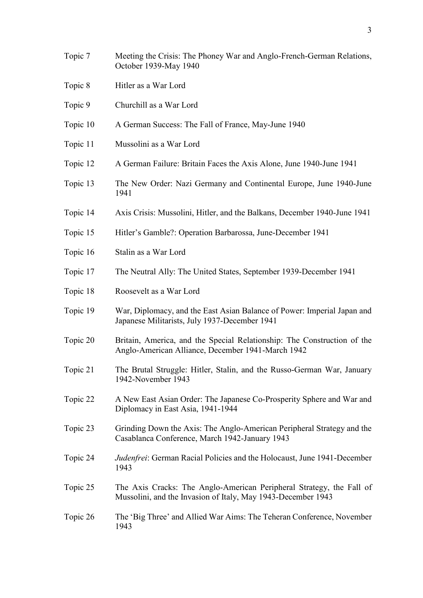3

- Topic 7 Meeting the Crisis: The Phoney War and Anglo-French-German Relations, October 1939-May 1940
- Topic 8 Hitler as a War Lord
- Topic 9 Churchill as a War Lord
- Topic 10 A German Success: The Fall of France, May-June 1940
- Topic 11 Mussolini as a War Lord
- Topic 12 A German Failure: Britain Faces the Axis Alone, June 1940-June 1941
- Topic 13 The New Order: Nazi Germany and Continental Europe, June 1940-June 1941
- Topic 14 Axis Crisis: Mussolini, Hitler, and the Balkans, December 1940-June 1941
- Topic 15 Hitler's Gamble?: Operation Barbarossa, June-December 1941
- Topic 16 Stalin as a War Lord
- Topic 17 The Neutral Ally: The United States, September 1939-December 1941
- Topic 18 Roosevelt as a War Lord
- Topic 19 War, Diplomacy, and the East Asian Balance of Power: Imperial Japan and Japanese Militarists, July 1937-December 1941
- Topic 20 Britain, America, and the Special Relationship: The Construction of the Anglo-American Alliance, December 1941-March 1942
- Topic 21 The Brutal Struggle: Hitler, Stalin, and the Russo-German War, January 1942-November 1943
- Topic 22 A New East Asian Order: The Japanese Co-Prosperity Sphere and War and Diplomacy in East Asia, 1941-1944
- Topic 23 Grinding Down the Axis: The Anglo-American Peripheral Strategy and the Casablanca Conference, March 1942-January 1943
- Topic 24 *Judenfrei*: German Racial Policies and the Holocaust, June 1941-December 1943
- Topic 25 The Axis Cracks: The Anglo-American Peripheral Strategy, the Fall of Mussolini, and the Invasion of Italy, May 1943-December 1943
- Topic 26 The 'Big Three' and Allied War Aims: The Teheran Conference, November 1943